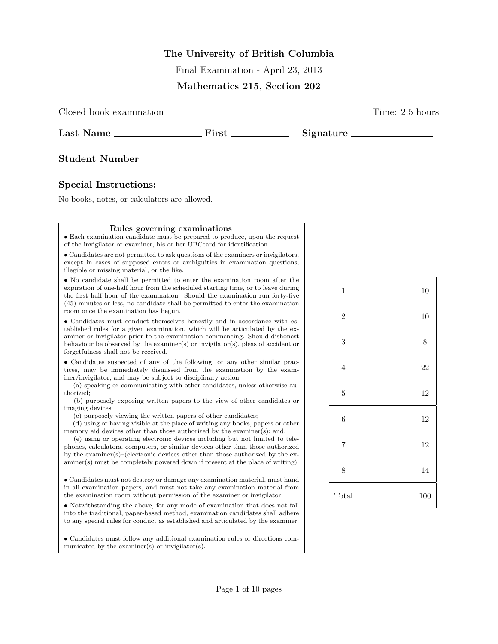## The University of British Columbia

Final Examination - April 23, 2013

#### Mathematics 215, Section 202

Closed book examination Time: 2.5 hours

Last Name First Signature

Student Number

### Special Instructions:

No books, notes, or calculators are allowed.

#### Rules governing examinations

• Each examination candidate must be prepared to produce, upon the request of the invigilator or examiner, his or her UBCcard for identification.

• Candidates are not permitted to ask questions of the examiners or invigilators, except in cases of supposed errors or ambiguities in examination questions, illegible or missing material, or the like.

• No candidate shall be permitted to enter the examination room after the expiration of one-half hour from the scheduled starting time, or to leave during the first half hour of the examination. Should the examination run forty-five (45) minutes or less, no candidate shall be permitted to enter the examination room once the examination has begun.

• Candidates must conduct themselves honestly and in accordance with established rules for a given examination, which will be articulated by the examiner or invigilator prior to the examination commencing. Should dishonest behaviour be observed by the examiner(s) or invigilator(s), pleas of accident or forgetfulness shall not be received.

• Candidates suspected of any of the following, or any other similar practices, may be immediately dismissed from the examination by the examiner/invigilator, and may be subject to disciplinary action:

(a) speaking or communicating with other candidates, unless otherwise authorized;

(b) purposely exposing written papers to the view of other candidates or imaging devices;

(c) purposely viewing the written papers of other candidates;

(d) using or having visible at the place of writing any books, papers or other memory aid devices other than those authorized by the examiner(s); and,

(e) using or operating electronic devices including but not limited to telephones, calculators, computers, or similar devices other than those authorized by the examiner(s)–(electronic devices other than those authorized by the examiner(s) must be completely powered down if present at the place of writing).

• Candidates must not destroy or damage any examination material, must hand in all examination papers, and must not take any examination material from the examination room without permission of the examiner or invigilator.

• Notwithstanding the above, for any mode of examination that does not fall into the traditional, paper-based method, examination candidates shall adhere to any special rules for conduct as established and articulated by the examiner.

• Candidates must follow any additional examination rules or directions communicated by the examiner(s) or invigilator(s).

| $\mathbf 1$    | 10        |
|----------------|-----------|
| $\sqrt{2}$     | 10        |
| $\sqrt{3}$     | $\,$ $\,$ |
| $\overline{4}$ | $22\,$    |
| $\overline{5}$ | 12        |
| 6              | 12        |
| $\overline{7}$ | 12        |
| 8              | 14        |
| Total          | 100       |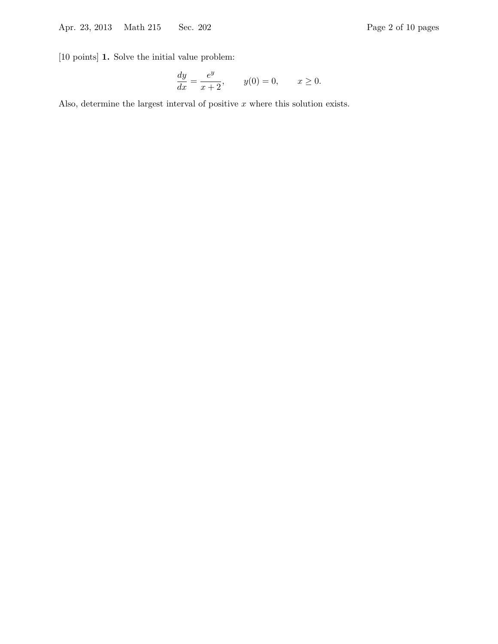[10 points] 1. Solve the initial value problem:

$$
\frac{dy}{dx} = \frac{e^y}{x+2}, \qquad y(0) = 0, \qquad x \ge 0.
$$

Also, determine the largest interval of positive  $x$  where this solution exists.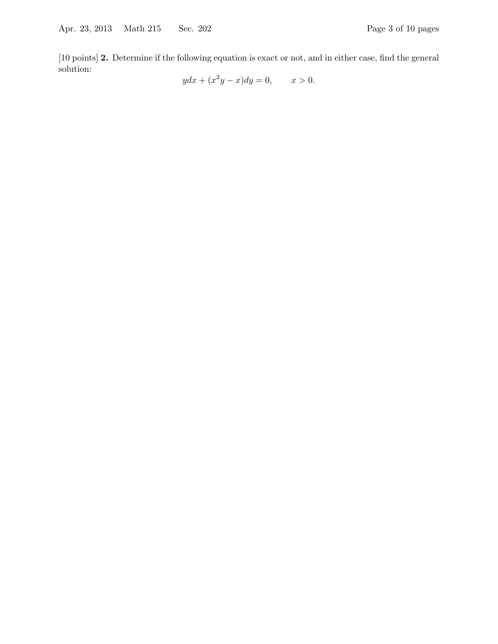[10 points] 2. Determine if the following equation is exact or not, and in either case, find the general solution:

 $ydx + (x^2y - x)dy = 0, \t x > 0.$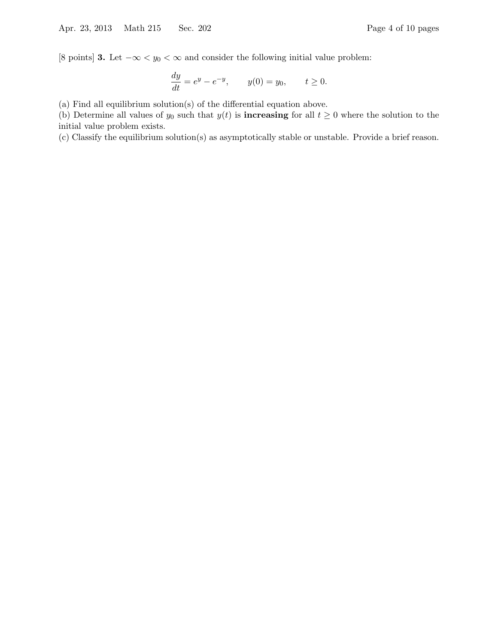[8 points] 3. Let  $-\infty < y_0 < \infty$  and consider the following initial value problem:

$$
\frac{dy}{dt} = e^y - e^{-y}, \qquad y(0) = y_0, \qquad t \ge 0.
$$

(a) Find all equilibrium solution(s) of the differential equation above.

(b) Determine all values of  $y_0$  such that  $y(t)$  is **increasing** for all  $t \geq 0$  where the solution to the initial value problem exists.

(c) Classify the equilibrium solution(s) as asymptotically stable or unstable. Provide a brief reason.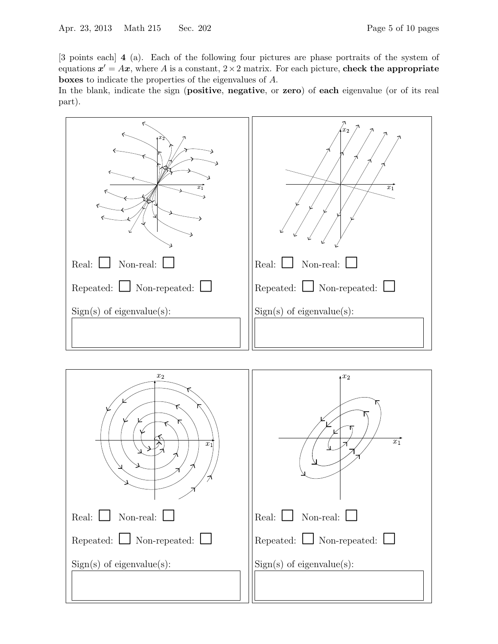[3 points each] 4 (a). Each of the following four pictures are phase portraits of the system of equations  $x' = Ax$ , where A is a constant,  $2 \times 2$  matrix. For each picture, check the appropriate boxes to indicate the properties of the eigenvalues of A.

In the blank, indicate the sign (**positive, negative**, or **zero**) of **each** eigenvalue (or of its real part).



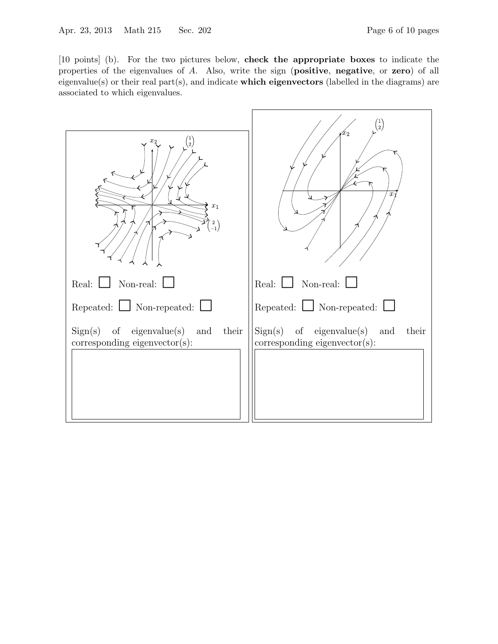[10 points] (b). For the two pictures below, check the appropriate boxes to indicate the properties of the eigenvalues of A. Also, write the sign (positive, negative, or zero) of all eigenvalue(s) or their real part(s), and indicate **which eigenvectors** (labelled in the diagrams) are associated to which eigenvalues.

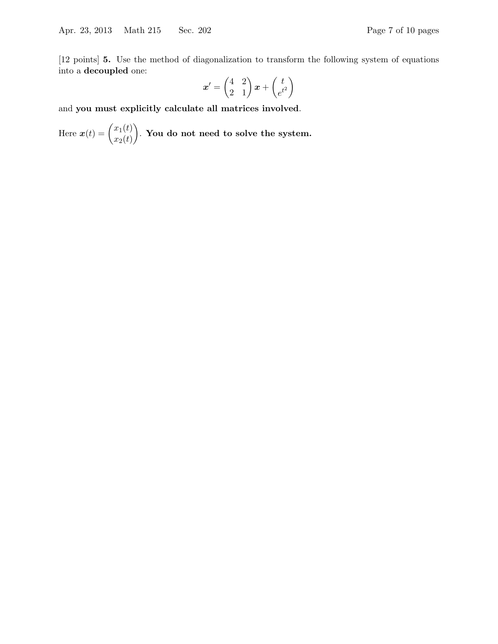[12 points] 5. Use the method of diagonalization to transform the following system of equations into a decoupled one:

$$
\boldsymbol{x}' = \begin{pmatrix} 4 & 2 \\ 2 & 1 \end{pmatrix} \boldsymbol{x} + \begin{pmatrix} t \\ e^{t^2} \end{pmatrix}
$$

and you must explicitly calculate all matrices involved.

Here  $\boldsymbol{x}(t) = \begin{pmatrix} x_1(t) \\ y_1(t) \end{pmatrix}$  $x_2(t)$ . You do not need to solve the system.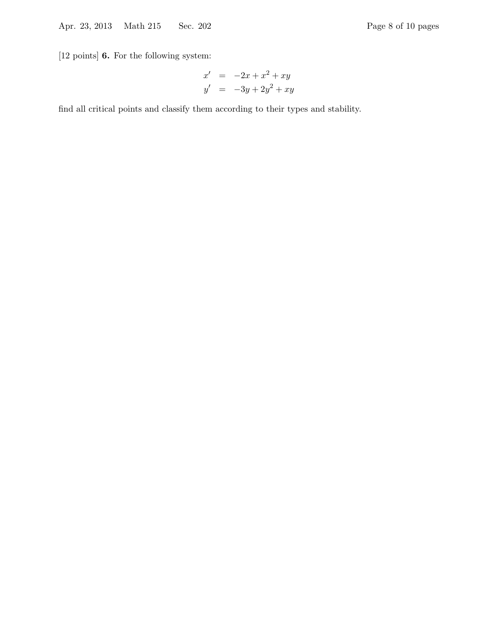[12 points] 6. For the following system:

$$
x' = -2x + x^2 + xy
$$
  

$$
y' = -3y + 2y^2 + xy
$$

find all critical points and classify them according to their types and stability.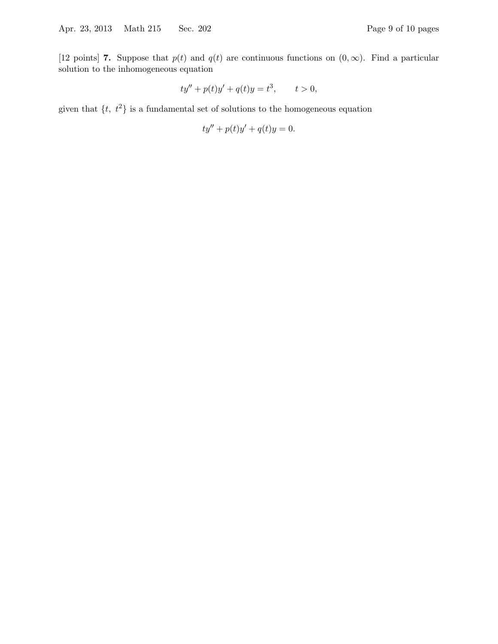$$
ty'' + p(t)y' + q(t)y = t^3, \t t > 0,
$$

given that  $\{t, t^2\}$  is a fundamental set of solutions to the homogeneous equation

$$
ty'' + p(t)y' + q(t)y = 0.
$$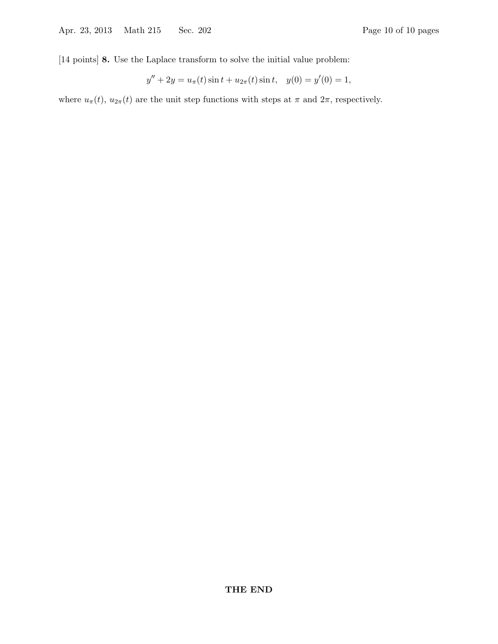[14 points] 8. Use the Laplace transform to solve the initial value problem:

$$
y'' + 2y = u_{\pi}(t)\sin t + u_{2\pi}(t)\sin t, \quad y(0) = y'(0) = 1,
$$

where  $u_{\pi}(t)$ ,  $u_{2\pi}(t)$  are the unit step functions with steps at  $\pi$  and  $2\pi$ , respectively.